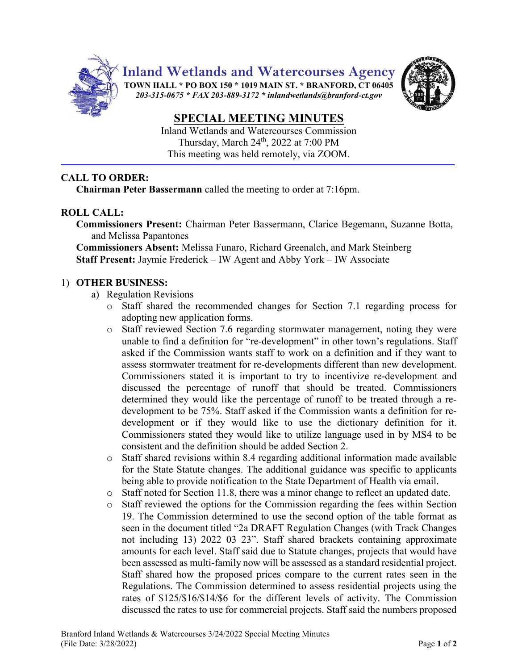

**Inland Wetlands and Watercourses Agency**

**TOWN HALL \* PO BOX 150 \* 1019 MAIN ST. \* BRANFORD, CT 06405** *203-315-0675 \* FAX 203-889-3172 \* inlandwetlands@branford-ct.gov* 



# **SPECIAL MEETING MINUTES**

Inland Wetlands and Watercourses Commission Thursday, March 24<sup>th</sup>, 2022 at 7:00 PM This meeting was held remotely, via ZOOM.

# **CALL TO ORDER:**

**Chairman Peter Bassermann** called the meeting to order at 7:16pm.

# **ROLL CALL:**

**Commissioners Present:** Chairman Peter Bassermann, Clarice Begemann, Suzanne Botta, and Melissa Papantones

**Commissioners Absent:** Melissa Funaro, Richard Greenalch, and Mark Steinberg **Staff Present:** Jaymie Frederick – IW Agent and Abby York – IW Associate

## 1) **OTHER BUSINESS:**

- a) Regulation Revisions
	- o Staff shared the recommended changes for Section 7.1 regarding process for adopting new application forms.
	- o Staff reviewed Section 7.6 regarding stormwater management, noting they were unable to find a definition for "re-development" in other town's regulations. Staff asked if the Commission wants staff to work on a definition and if they want to assess stormwater treatment for re-developments different than new development. Commissioners stated it is important to try to incentivize re-development and discussed the percentage of runoff that should be treated. Commissioners determined they would like the percentage of runoff to be treated through a redevelopment to be 75%. Staff asked if the Commission wants a definition for redevelopment or if they would like to use the dictionary definition for it. Commissioners stated they would like to utilize language used in by MS4 to be consistent and the definition should be added Section 2.
	- $\circ$  Staff shared revisions within 8.4 regarding additional information made available for the State Statute changes. The additional guidance was specific to applicants being able to provide notification to the State Department of Health via email.
	- o Staff noted for Section 11.8, there was a minor change to reflect an updated date.
	- o Staff reviewed the options for the Commission regarding the fees within Section 19. The Commission determined to use the second option of the table format as seen in the document titled "2a DRAFT Regulation Changes (with Track Changes not including 13) 2022 03 23". Staff shared brackets containing approximate amounts for each level. Staff said due to Statute changes, projects that would have been assessed as multi-family now will be assessed as a standard residential project. Staff shared how the proposed prices compare to the current rates seen in the Regulations. The Commission determined to assess residential projects using the rates of \$125/\$16/\$14/\$6 for the different levels of activity. The Commission discussed the rates to use for commercial projects. Staff said the numbers proposed